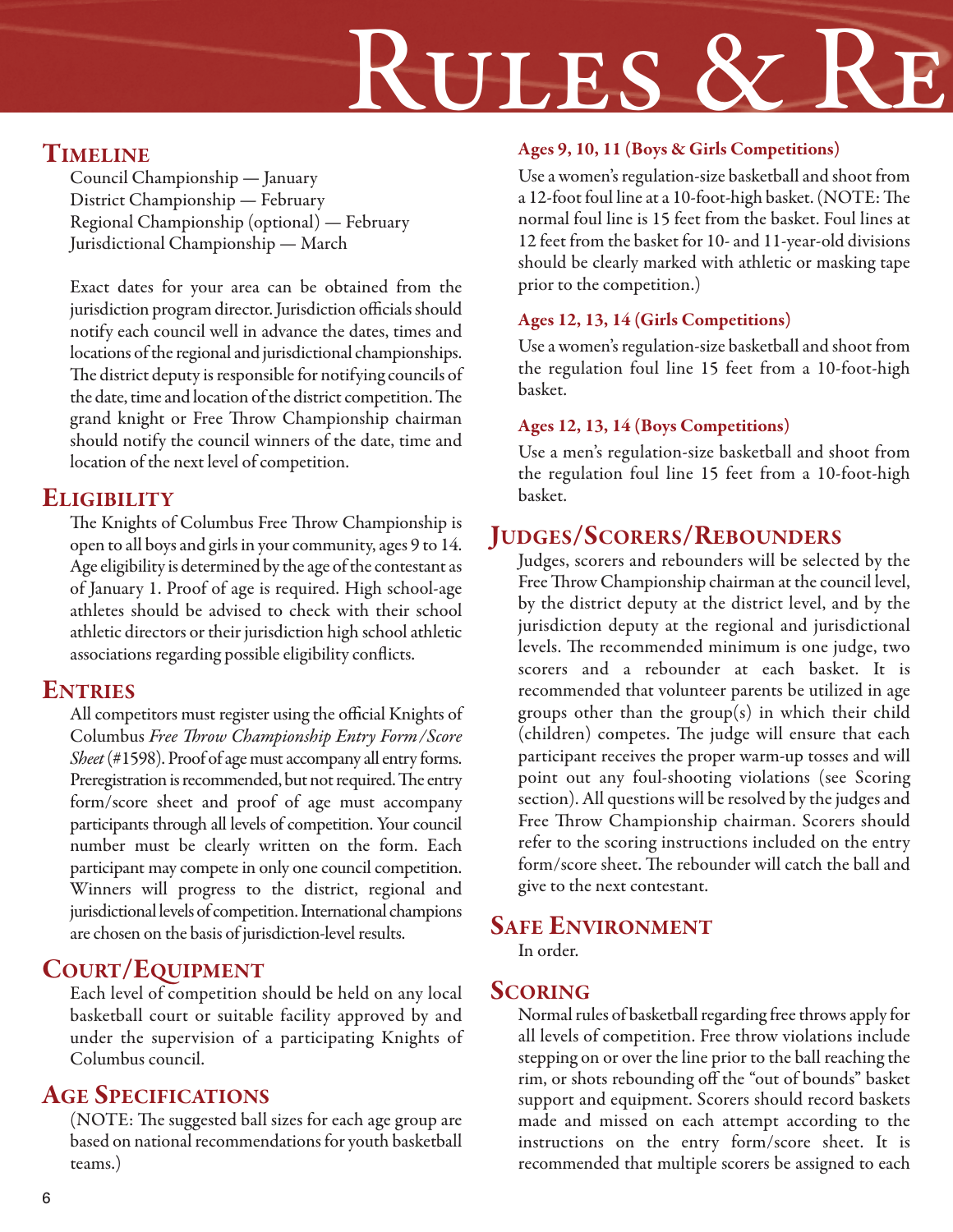# RULES & R

### **timeline**

Council Championship — January District Championship — February Regional Championship (optional) — February Jurisdictional Championship — March

Exact dates for your area can be obtained from the jurisdiction program director. Jurisdiction officials should notify each council well in advance the dates, times and locations of the regional and jurisdictional championships. The district deputy is responsible for notifying councils of the date, time and location of the district competition. The grand knight or Free Throw Championship chairman should notify the council winners of the date, time and location of the next level of competition.

#### **ELIGIBILITY**

The Knights of Columbus Free Throw Championship is open to all boys and girls in your community, ages 9 to 14. Age eligibility is determined by the age of the contestant as of January 1. Proof of age is required. High school-age athletes should be advised to check with their school athletic directors or their jurisdiction high school athletic associations regarding possible eligibility conflicts.

# **entries**

All competitors must register using the official Knights of Columbus Free Throw Championship Entry Form/Score Sheet (#1598). Proof of age must accompany all entry forms. Preregistration is recommended, but not required. The entry form/score sheet and proof of age must accompany participants through all levels of competition. Your council number must be clearly written on the form. Each participant may compete in only one council competition. winners will progress to the district, regional and jurisdictional levels of competition. International champions are chosen on the basis of jurisdiction-level results.

# **court/equiPment**

Each level of competition should be held on any local basketball court or suitable facility approved by and under the supervision of a participating Knights of Columbus council.

# **age sPeciFications**

(NOTE: The suggested ball sizes for each age group are based on national recommendations for youth basketball teams.)

#### **ages 9, 10, 11 (Boys & girls competitions)**

Use a women's regulation-size basketball and shoot from a 12-foot foul line at a 10-foot-high basket. (NOTE: The normal foul line is 15 feet from the basket. Foul lines at 12 feet from the basket for 10- and 11-year-old divisions should be clearly marked with athletic or masking tape prior to the competition.)

#### **ages 12, 13, 14 (girls competitions)**

Use a women's regulation-size basketball and shoot from the regulation foul line 15 feet from a 10-foot-high basket.

#### **ages 12, 13, 14 (Boys competitions)**

Use a men's regulation-size basketball and shoot from the regulation foul line 15 feet from a 10-foot-high basket.

# **Judges/scorers/reBounders**

Judges, scorers and rebounders will be selected by the Free Throw Championship chairman at the council level, by the district deputy at the district level, and by the jurisdiction deputy at the regional and jurisdictional levels. The recommended minimum is one judge, two scorers and a rebounder at each basket. it is recommended that volunteer parents be utilized in age groups other than the group(s) in which their child (children) competes. The judge will ensure that each participant receives the proper warm-up tosses and will point out any foul-shooting violations (see Scoring section). All questions will be resolved by the judges and Free Throw Championship chairman. Scorers should refer to the scoring instructions included on the entry form/score sheet. The rebounder will catch the ball and give to the next contestant.

#### **saFe environment**

In order.

#### **scoring**

Normal rules of basketball regarding free throws apply for all levels of competition. Free throw violations include stepping on or over the line prior to the ball reaching the rim, or shots rebounding off the "out of bounds" basket support and equipment. Scorers should record baskets made and missed on each attempt according to the instructions on the entry form/score sheet. it is recommended that multiple scorers be assigned to each